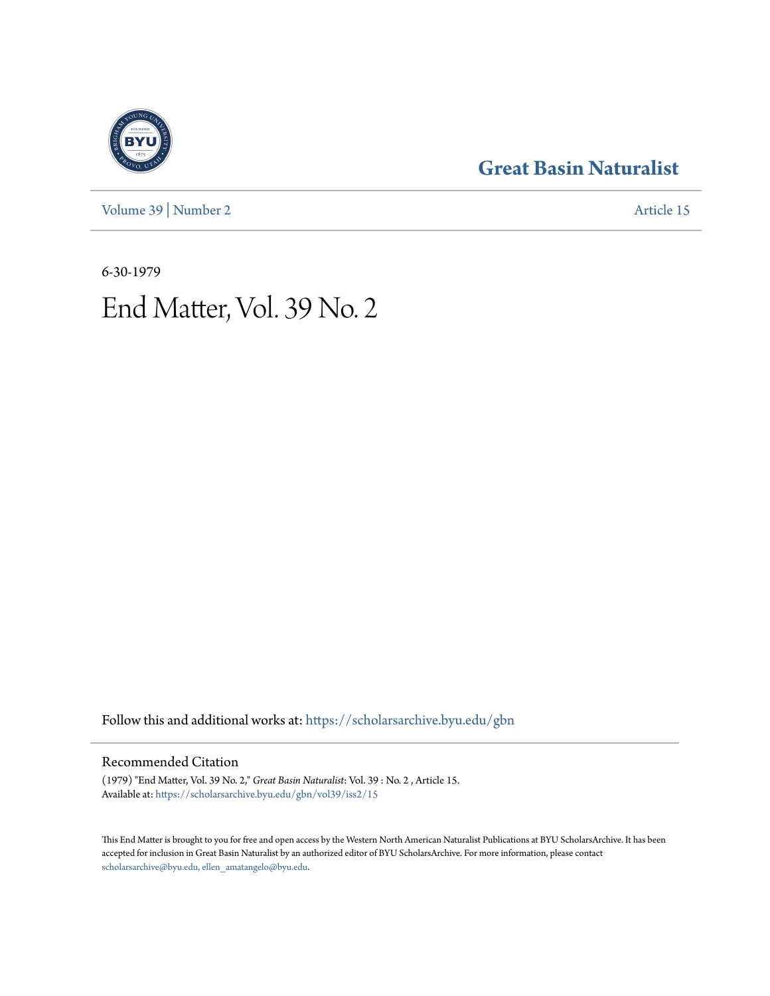[Volume 39](https://scholarsarchive.byu.edu/gbn/vol39?utm_source=scholarsarchive.byu.edu%2Fgbn%2Fvol39%2Fiss2%2F15&utm_medium=PDF&utm_campaign=PDFCoverPages) | [Number 2](https://scholarsarchive.byu.edu/gbn/vol39/iss2?utm_source=scholarsarchive.byu.edu%2Fgbn%2Fvol39%2Fiss2%2F15&utm_medium=PDF&utm_campaign=PDFCoverPages) [Article 15](https://scholarsarchive.byu.edu/gbn/vol39/iss2/15?utm_source=scholarsarchive.byu.edu%2Fgbn%2Fvol39%2Fiss2%2F15&utm_medium=PDF&utm_campaign=PDFCoverPages)

## **[Great Basin Naturalist](https://scholarsarchive.byu.edu/gbn?utm_source=scholarsarchive.byu.edu%2Fgbn%2Fvol39%2Fiss2%2F15&utm_medium=PDF&utm_campaign=PDFCoverPages)**

6-30-1979

# End Matter, Vol. 39 No. 2

Follow this and additional works at: [https://scholarsarchive.byu.edu/gbn](https://scholarsarchive.byu.edu/gbn?utm_source=scholarsarchive.byu.edu%2Fgbn%2Fvol39%2Fiss2%2F15&utm_medium=PDF&utm_campaign=PDFCoverPages)

### Recommended Citation

(1979) "End Matter, Vol. 39 No. 2," *Great Basin Naturalist*: Vol. 39 : No. 2 , Article 15. Available at: [https://scholarsarchive.byu.edu/gbn/vol39/iss2/15](https://scholarsarchive.byu.edu/gbn/vol39/iss2/15?utm_source=scholarsarchive.byu.edu%2Fgbn%2Fvol39%2Fiss2%2F15&utm_medium=PDF&utm_campaign=PDFCoverPages)

This End Matter is brought to you for free and open access by the Western North American Naturalist Publications at BYU ScholarsArchive. It has been accepted for inclusion in Great Basin Naturalist by an authorized editor of BYU ScholarsArchive. For more information, please contact [scholarsarchive@byu.edu, ellen\\_amatangelo@byu.edu.](mailto:scholarsarchive@byu.edu,%20ellen_amatangelo@byu.edu)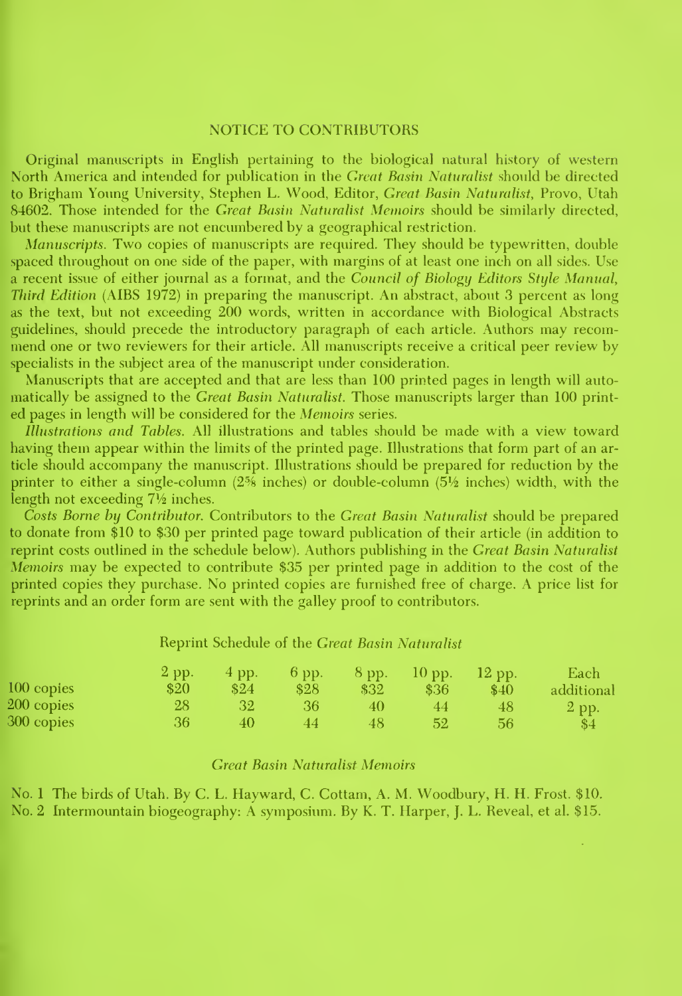#### NOTICE TO CONTRIBUTORS

Original manuscripts in English pertaining to the biological natural history of western North America and intended for publication in the Great Basin Naturalist should be directed to Brigham Young University, Stephen L. Wood, Editor, Great Basin Naturalist, Provo, Utah 84602. Those intended for the Great Basin Naturalist Memoirs should be similarly directed, but these manuscripts are not encumbered by a geographical restriction.

Manuscripts. Two copies of manuscripts are required. They should be typewritten, double spaced throughout on one side of the paper, with margins of at least one inch on all sides. Use a recent issue of either journal as <sup>a</sup> format, and the Council of Biology Editors Style Manual, Third Edition (AIBS 1972) in preparing the manuscript. An abstract, about 3 percent as long as the text, but not exceeding 200 words, written in accordance with Biological Abstracts guidelines, should precede the introductory paragraph of each article. Authors may recom mend one or two reviewers for their article. All manuscripts receive a critical peer review by specialists in the subject area of the manuscript under consideration.

Manuscripts that are accepted and that are less than 100 printed pages in length will auto matically be assigned to the Great Basin Naturalist. Those manuscripts larger than 100 print ed pages in length will be considered for the Memoirs series.

Illustrations and Tables. All illustrations and tables should be made with a view toward having them appear within the limits of the printed page. Illustrations that form part of an article should accompany the manuscript. Illustrations should be prepared for reduction by the printer to either a single-column (2% inches) or double-column (514 inches) width, with the length not exceeding  $7\frac{1}{2}$  inches.

Costs Borne by Contributor. Contributors to the Great Basin Naturalist should be prepared to donate from \$10 to \$30 per printed page toward publication of their article (in addition to reprint costs outlined in the schedule below). Authors publishing in the Great Basin Naturalist Memoirs may be expected to contribute \$35 per printed page in addition to the cost of the printed copies they purchase. No printed copies are furnished free of charge. A price list for reprints and an order form are sent with the galley proof to contributors.

#### Reprint Schedule of the Great Basin Naturalist

|            | 2 pp.        | 4 pp. | $6$ pp. | $8$ pp. | $10$ pp. | $12$ pp. | Each       |
|------------|--------------|-------|---------|---------|----------|----------|------------|
| 100 copies | \$20         | \$24  | \$28    | \$32    | \$36     | \$40     | additional |
| 200 copies | $28^{\circ}$ | 32    | 36      | 40      |          | 48       | $2$ pp.    |
| 300 copies | 36           | 40    | 44      | 48      | 52       | 56       | -84        |

#### **Great Basin Naturalist Memoirs**

No. 1 The birds of Utah. By C. L. Hayward, C. Cottam, A. M. Woodbury, H. H. Frost. \$10. No. 2 Intermountain biogeography: A symposium. By K. T. Harper, J. L. Reveal, et al. \$15.